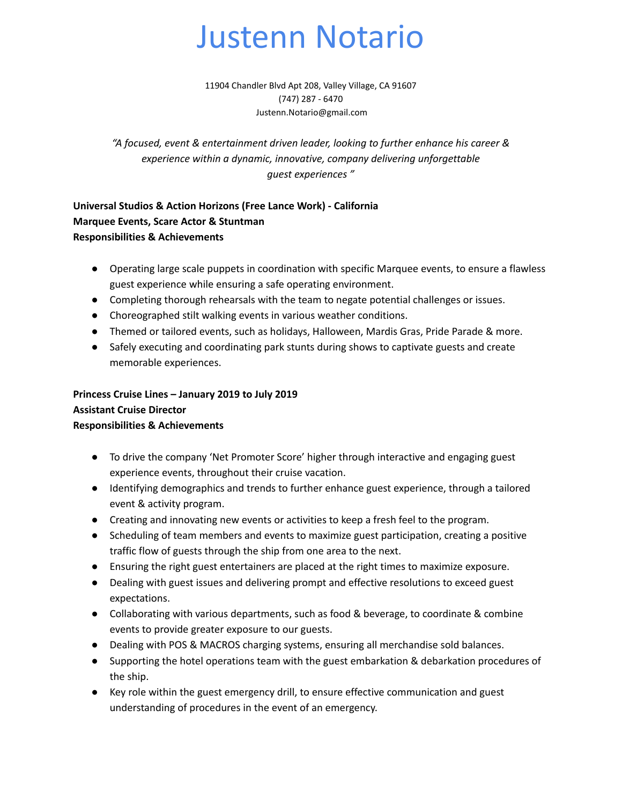# Justenn Notario

11904 Chandler Blvd Apt 208, Valley Village, CA 91607 (747) 287 - 6470 Justenn.Notario@gmail.com

*"A focused, event & entertainment driven leader, looking to further enhance his career & experience within a dynamic, innovative, company delivering unforgettable guest experiences "*

**Universal Studios & Action Horizons (Free Lance Work) - California Marquee Events, Scare Actor & Stuntman Responsibilities & Achievements**

- Operating large scale puppets in coordination with specific Marquee events, to ensure a flawless guest experience while ensuring a safe operating environment.
- Completing thorough rehearsals with the team to negate potential challenges or issues.
- Choreographed stilt walking events in various weather conditions.
- Themed or tailored events, such as holidays, Halloween, Mardis Gras, Pride Parade & more.
- Safely executing and coordinating park stunts during shows to captivate guests and create memorable experiences.

## **Princess Cruise Lines – January 2019 to July 2019**

#### **Assistant Cruise Director**

#### **Responsibilities & Achievements**

- To drive the company 'Net Promoter Score' higher through interactive and engaging guest experience events, throughout their cruise vacation.
- Identifying demographics and trends to further enhance guest experience, through a tailored event & activity program.
- Creating and innovating new events or activities to keep a fresh feel to the program.
- Scheduling of team members and events to maximize guest participation, creating a positive traffic flow of guests through the ship from one area to the next.
- Ensuring the right guest entertainers are placed at the right times to maximize exposure.
- Dealing with guest issues and delivering prompt and effective resolutions to exceed guest expectations.
- Collaborating with various departments, such as food & beverage, to coordinate & combine events to provide greater exposure to our guests.
- Dealing with POS & MACROS charging systems, ensuring all merchandise sold balances.
- Supporting the hotel operations team with the guest embarkation & debarkation procedures of the ship.
- Key role within the guest emergency drill, to ensure effective communication and guest understanding of procedures in the event of an emergency.